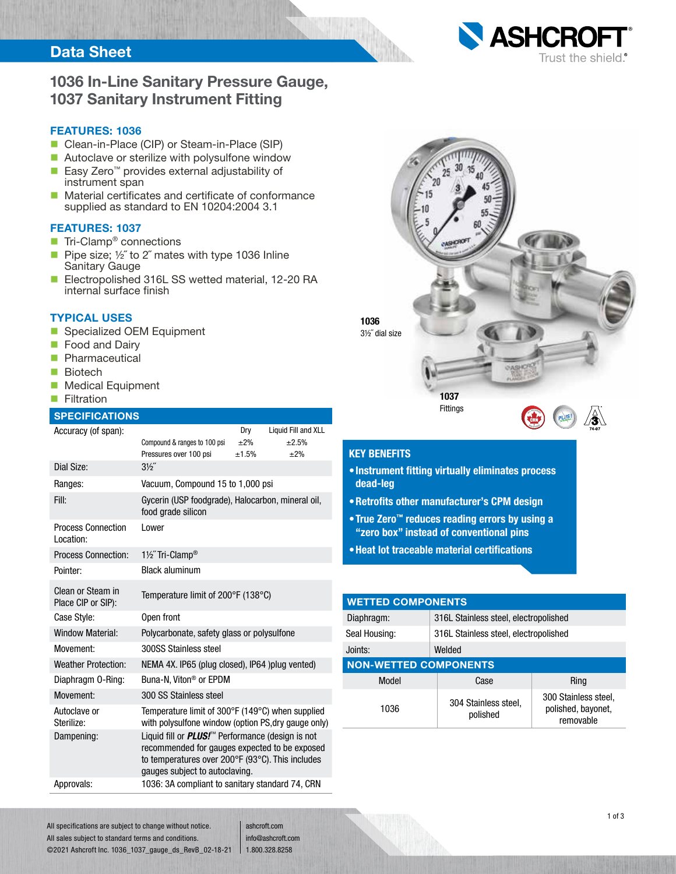## Data Sheet



#### FEATURES: 1036

- Clean-in-Place (CIP) or Steam-in-Place (SIP)
- Autoclave or sterilize with polysulfone window
- Easy Zero<sup>™</sup> provides external adjustability of instrument span
- Material certificates and certificate of conformance supplied as standard to EN 10204:2004 3.1

### FEATURES: 1037

- $\blacksquare$  Tri-Clamp<sup>®</sup> connections
- Pipe size;  $\frac{1}{2}$  to 2<sup> $\degree$ </sup> mates with type 1036 Inline Sanitary Gauge
- Electropolished 316L SS wetted material, 12-20 RA internal surface finish

### TYPICAL USES

- Specialized OEM Equipment
- **Food and Dairy**
- **Pharmaceutical**
- **Biotech**
- **Medical Equipment**
- **Filtration**

### **SPECIFICATIONS**

| Accuracy (of span):                     |                                                                                                                                                                                                            | Dry       | Liquid Fill and XLL |  |  |  |
|-----------------------------------------|------------------------------------------------------------------------------------------------------------------------------------------------------------------------------------------------------------|-----------|---------------------|--|--|--|
|                                         | Compound & ranges to 100 psi                                                                                                                                                                               | $\pm 2\%$ | $+2.5%$             |  |  |  |
|                                         | Pressures over 100 psi                                                                                                                                                                                     | ±1.5%     | ±2%                 |  |  |  |
| Dial Size:                              | $3\frac{1}{2}$                                                                                                                                                                                             |           |                     |  |  |  |
| Ranges:                                 | Vacuum, Compound 15 to 1,000 psi                                                                                                                                                                           |           |                     |  |  |  |
| Fill:                                   | Gycerin (USP foodgrade), Halocarbon, mineral oil,<br>food grade silicon                                                                                                                                    |           |                     |  |  |  |
| <b>Process Connection</b><br>Location:  | Lower                                                                                                                                                                                                      |           |                     |  |  |  |
| <b>Process Connection:</b>              | 11/2" Tri-Clamp®                                                                                                                                                                                           |           |                     |  |  |  |
| Pointer:                                | <b>Black aluminum</b>                                                                                                                                                                                      |           |                     |  |  |  |
| Clean or Steam in<br>Place CIP or SIP): | Temperature limit of 200°F (138°C)                                                                                                                                                                         |           |                     |  |  |  |
| Case Style:                             | Open front                                                                                                                                                                                                 |           |                     |  |  |  |
| <b>Window Material:</b>                 | Polycarbonate, safety glass or polysulfone                                                                                                                                                                 |           |                     |  |  |  |
| Movement:                               | 300SS Stainless steel                                                                                                                                                                                      |           |                     |  |  |  |
| <b>Weather Protection:</b>              | NEMA 4X. IP65 (plug closed), IP64 )plug vented)                                                                                                                                                            |           |                     |  |  |  |
| Diaphragm 0-Ring:                       | Buna-N. Viton <sup>®</sup> or EPDM                                                                                                                                                                         |           |                     |  |  |  |
| Movement:                               | 300 SS Stainless steel                                                                                                                                                                                     |           |                     |  |  |  |
| Autoclave or<br>Sterilize:              | Temperature limit of 300°F (149°C) when supplied<br>with polysulfone window (option PS, dry gauge only)                                                                                                    |           |                     |  |  |  |
| Dampening:                              | Liquid fill or <i>PLUS!</i> <sup>™</sup> Performance (design is not<br>recommended for gauges expected to be exposed<br>to temperatures over 200°F (93°C). This includes<br>gauges subject to autoclaving. |           |                     |  |  |  |
| Approvals:                              | 1036: 3A compliant to sanitary standard 74, CRN                                                                                                                                                            |           |                     |  |  |  |



### KEY BENEFITS

- •Instrument fitting virtually eliminates process dead-leg
- •Retrofits other manufacturer's CPM design
- •True Zero™ reduces reading errors by using a "zero box" instead of conventional pins
- •Heat lot traceable material certifications

| <b>WETTED COMPONENTS</b>     |                                       |                                                         |  |  |  |  |  |
|------------------------------|---------------------------------------|---------------------------------------------------------|--|--|--|--|--|
| Diaphragm:                   | 316L Stainless steel, electropolished |                                                         |  |  |  |  |  |
| Seal Housing:                | 316L Stainless steel, electropolished |                                                         |  |  |  |  |  |
| Joints:                      | Welded                                |                                                         |  |  |  |  |  |
| <b>NON-WETTED COMPONENTS</b> |                                       |                                                         |  |  |  |  |  |
| Model                        | Case                                  | Ring                                                    |  |  |  |  |  |
| 1036                         | 304 Stainless steel,<br>polished      | 300 Stainless steel,<br>polished, bayonet,<br>removable |  |  |  |  |  |

All specifications are subject to change without notice. All sales subject to standard terms and conditions. ©2021 Ashcroft Inc. 1036\_1037\_gauge\_ds\_RevB\_02-18-21

ashcroft.com info@ashcroft.com 1.800.328.8258

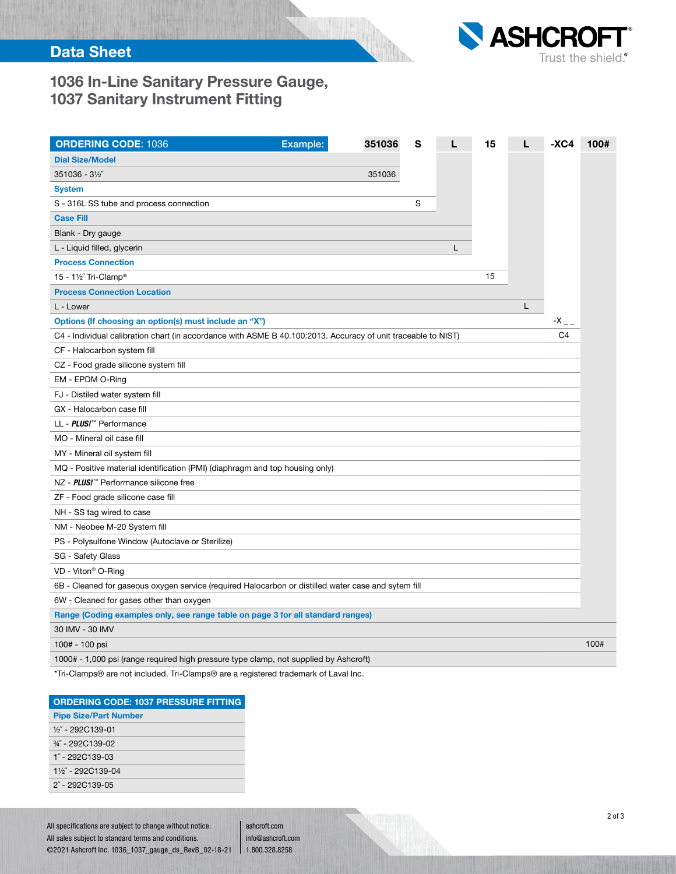

# 1036 In-Line Sanitary Pressure Gauge, 1037 Sanitary Instrument Fitting

| <b>ORDERING CODE: 1036</b>                                                                                    | Example: | 351036 | S |   | 15 |   | $-XC4$             | 100# |
|---------------------------------------------------------------------------------------------------------------|----------|--------|---|---|----|---|--------------------|------|
| <b>Dial Size/Model</b>                                                                                        |          |        |   |   |    |   |                    |      |
| 351036 - 31/2"                                                                                                |          | 351036 |   |   |    |   |                    |      |
| <b>System</b>                                                                                                 |          |        |   |   |    |   |                    |      |
| S - 316L SS tube and process connection                                                                       |          |        | S |   |    |   |                    |      |
| <b>Case Fill</b>                                                                                              |          |        |   |   |    |   |                    |      |
| Blank - Dry gauge                                                                                             |          |        |   |   |    |   |                    |      |
| L - Liquid filled, glycerin                                                                                   |          |        |   | L |    |   |                    |      |
| <b>Process Connection</b>                                                                                     |          |        |   |   |    |   |                    |      |
| 15 - 1½" Tri-Clamp®                                                                                           |          |        |   |   | 15 |   |                    |      |
| <b>Process Connection Location</b>                                                                            |          |        |   |   |    |   |                    |      |
| L - Lower                                                                                                     |          |        |   |   |    | L |                    |      |
| Options (If choosing an option(s) must include an "X")                                                        |          |        |   |   |    |   | $-X$ <sub>--</sub> |      |
| C4 - Individual calibration chart (in accordance with ASME B 40.100:2013. Accuracy of unit traceable to NIST) |          |        |   |   |    |   | C <sub>4</sub>     |      |
| CF - Halocarbon system fill                                                                                   |          |        |   |   |    |   |                    |      |
| CZ - Food grade silicone system fill                                                                          |          |        |   |   |    |   |                    |      |
| EM - EPDM O-Ring                                                                                              |          |        |   |   |    |   |                    |      |
| FJ - Distiled water system fill                                                                               |          |        |   |   |    |   |                    |      |
| GX - Halocarbon case fill                                                                                     |          |        |   |   |    |   |                    |      |
| LL - <i>PLUS!</i> <sup>™</sup> Performance                                                                    |          |        |   |   |    |   |                    |      |
| MO - Mineral oil case fill                                                                                    |          |        |   |   |    |   |                    |      |
| MY - Mineral oil system fill                                                                                  |          |        |   |   |    |   |                    |      |
| MQ - Positive material identification (PMI) (diaphragm and top housing only)                                  |          |        |   |   |    |   |                    |      |
| NZ - <i>PLUS!™</i> Performance silicone free                                                                  |          |        |   |   |    |   |                    |      |
| ZF - Food grade silicone case fill                                                                            |          |        |   |   |    |   |                    |      |
| NH - SS tag wired to case                                                                                     |          |        |   |   |    |   |                    |      |
| NM - Neobee M-20 System fill                                                                                  |          |        |   |   |    |   |                    |      |
| PS - Polysulfone Window (Autoclave or Sterilize)                                                              |          |        |   |   |    |   |                    |      |
| SG - Safety Glass                                                                                             |          |        |   |   |    |   |                    |      |
| VD - Viton <sup>®</sup> O-Ring                                                                                |          |        |   |   |    |   |                    |      |
| 6B - Cleaned for gaseous oxygen service (required Halocarbon or distilled water case and sytem fill           |          |        |   |   |    |   |                    |      |
| 6W - Cleaned for gases other than oxygen                                                                      |          |        |   |   |    |   |                    |      |
| Range (Coding examples only, see range table on page 3 for all standard ranges)                               |          |        |   |   |    |   |                    |      |
| 30 IMV - 30 IMV                                                                                               |          |        |   |   |    |   |                    |      |
| 100# - 100 psi                                                                                                |          |        |   |   |    |   |                    | 100# |
| 1000# - 1,000 psi (range required high pressure type clamp, not supplied by Ashcroft)                         |          |        |   |   |    |   |                    |      |

\*Tri-Clamps® are not included. Tri-Clamps® are a registered trademark of Laval Inc.

| <b>ORDERING CODE: 1037 PRESSURE FITTING</b> |
|---------------------------------------------|
| <b>Pipe Size/Part Number</b>                |
| $\frac{1}{2}$ - 292C139-01                  |
| $\frac{3}{4}$ - 292C139-02                  |
| $1" - 292C139-03$                           |
| 11/ <sub>2</sub> " - 292C139-04             |
| $2^{\prime\prime}$ - 292C139-05             |

All specifications are subject to change without notice. All sales subject to standard terms and conditions. ©2021 Ashcroft Inc. 1036\_1037\_gauge\_ds\_RevB\_02-18-21

ashcroft.com info@ashcroft.com 1.800.328.8258